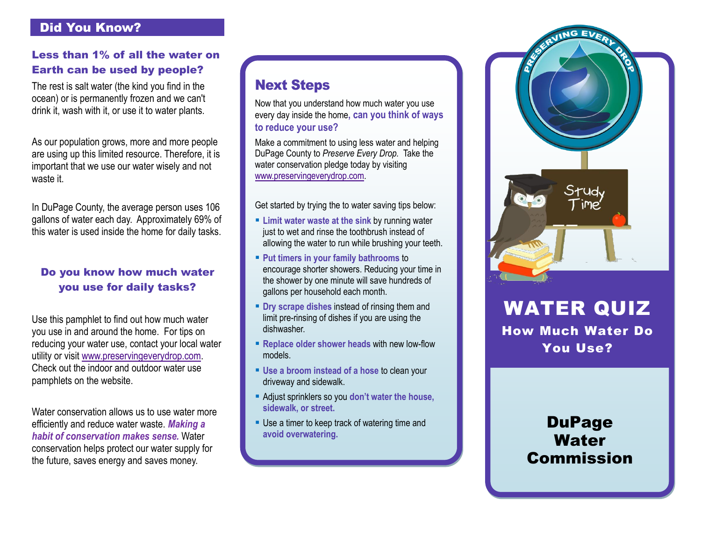### Did You Know?

### Less than 1% of all the water on Earth can be used by people?

The rest is salt water (the kind you find in the ocean) or is permanently frozen and we can't drink it, wash with it, or use it to water plants.

As our population grows, more and more people are using up this limited resource. Therefore, it is important that we use our water wisely and not waste it.

In DuPage County, the average person uses 106 gallons of water each day. Approximately 69% of this water is used inside the home for daily tasks.

### Do you know how much water you use for daily tasks?

Use this pamphlet to find out how much water you use in and around the home. For tips on reducing your water use, contact your local water utility or visit [www.preservingeverydrop.com.](http://www.preservingeverydrop.com/) Check out the indoor and outdoor water use pamphlets on the website.

Water conservation allows us to use water more efficiently and reduce water waste. *Making a habit of conservation makes sense.* Water conservation helps protect our water supply for the future, saves energy and saves money.

## Next Steps

Now that you understand how much water you use every day inside the home**, can you think of ways to reduce your use?**

Make a commitment to using less water and helping DuPage County to *Preserve Every Drop.* Take the water conservation pledge today by visiting [www.preservingeverydrop.com.](http://www.preservingeverydrop.com/)

Get started by trying the to water saving tips below:

- **Limit water waste at the sink** by running water just to wet and rinse the toothbrush instead of allowing the water to run while brushing your teeth.
- **Put timers in your family bathrooms** to encourage shorter showers. Reducing your time in the shower by one minute will save hundreds of gallons per household each month.
- **P** Dry scrape dishes instead of rinsing them and limit pre-rinsing of dishes if you are using the dishwasher.
- **Replace older shower heads with new low-flow** models.
- **Use a broom instead of a hose** to clean your driveway and sidewalk.
- Adjust sprinklers so you **don't water the house, sidewalk, or street.**
- Use a timer to keep track of watering time and **avoid overwatering.**



WATER QUIZ How Much Water Do You Use?

# **DuPage Water** Commission